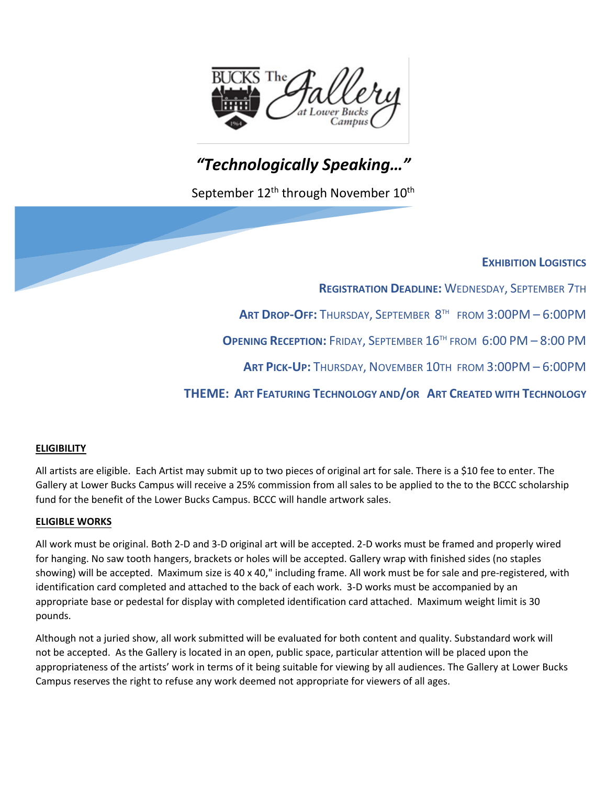

# *"Technologically Speaking…"*

September 12<sup>th</sup> through November 10<sup>th</sup>

### **EXHIBITION LOGISTICS**

**REGISTRATION DEADLINE:** WEDNESDAY, SEPTEMBER 7TH **ART DROP-OFF:** THURSDAY, SEPTEMBER 8TH FROM 3:00PM – 6:00PM **OPENING RECEPTION:** FRIDAY, SEPTEMBER 16TH FROM 6:00 PM – 8:00 PM

**ART PICK-UP:** THURSDAY, NOVEMBER 10TH FROM 3:00PM – 6:00PM

**THEME: ART FEATURING TECHNOLOGY AND/OR ART CREATED WITH TECHNOLOGY**

### **ELIGIBILITY**

All artists are eligible. Each Artist may submit up to two pieces of original art for sale. There is a \$10 fee to enter. The Gallery at Lower Bucks Campus will receive a 25% commission from all sales to be applied to the to the BCCC scholarship fund for the benefit of the Lower Bucks Campus. BCCC will handle artwork sales.

#### **ELIGIBLE WORKS**

All work must be original. Both 2-D and 3-D original art will be accepted. 2-D works must be framed and properly wired for hanging. No saw tooth hangers, brackets or holes will be accepted. Gallery wrap with finished sides (no staples showing) will be accepted. Maximum size is 40 x 40," including frame. All work must be for sale and pre-registered, with identification card completed and attached to the back of each work. 3-D works must be accompanied by an appropriate base or pedestal for display with completed identification card attached. Maximum weight limit is 30 pounds.

Although not a juried show, all work submitted will be evaluated for both content and quality. Substandard work will not be accepted. As the Gallery is located in an open, public space, particular attention will be placed upon the appropriateness of the artists' work in terms of it being suitable for viewing by all audiences. The Gallery at Lower Bucks Campus reserves the right to refuse any work deemed not appropriate for viewers of all ages.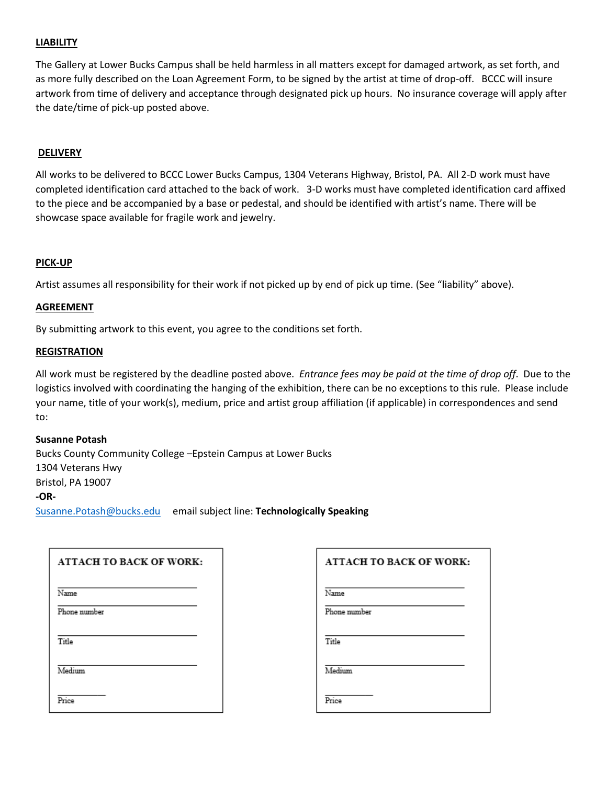#### **LIABILITY**

The Gallery at Lower Bucks Campus shall be held harmless in all matters except for damaged artwork, as set forth, and as more fully described on the Loan Agreement Form, to be signed by the artist at time of drop-off. BCCC will insure artwork from time of delivery and acceptance through designated pick up hours. No insurance coverage will apply after the date/time of pick-up posted above.

#### **DELIVERY**

All works to be delivered to BCCC Lower Bucks Campus, 1304 Veterans Highway, Bristol, PA. All 2-D work must have completed identification card attached to the back of work. 3-D works must have completed identification card affixed to the piece and be accompanied by a base or pedestal, and should be identified with artist's name. There will be showcase space available for fragile work and jewelry.

#### **PICK-UP**

Artist assumes all responsibility for their work if not picked up by end of pick up time. (See "liability" above).

#### **AGREEMENT**

By submitting artwork to this event, you agree to the conditions set forth.

#### **REGISTRATION**

All work must be registered by the deadline posted above. *Entrance fees may be paid at the time of drop off*. Due to the logistics involved with coordinating the hanging of the exhibition, there can be no exceptions to this rule. Please include your name, title of your work(s), medium, price and artist group affiliation (if applicable) in correspondences and send to:

#### **Susanne Potash**

Bucks County Community College –Epstein Campus at Lower Bucks 1304 Veterans Hwy Bristol, PA 19007 **-OR-**[Susanne.Potash@bucks.edu](mailto:Susanne.Potash@bucks.edu) email subject line: **Technologically Speaking**

| <b>ATTACH TO BACK OF WORK:</b> | <b>ATTACH TO BACK OF WORK:</b> |
|--------------------------------|--------------------------------|
| Name                           | Name                           |
| Phone number                   | Phone number                   |
| Title                          | Title                          |
| Medium                         | Medium                         |
| Price                          | Price                          |